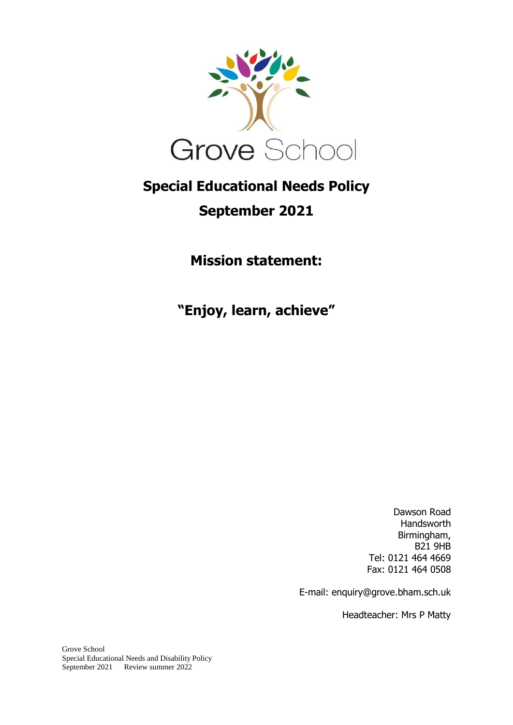

# **Special Educational Needs Policy**

# **September 2021**

**Mission statement:**

**"Enjoy, learn, achieve"**

Dawson Road Handsworth Birmingham, B21 9HB Tel: 0121 464 4669 Fax: 0121 464 0508

E-mail: enquiry@grove.bham.sch.uk

Headteacher: Mrs P Matty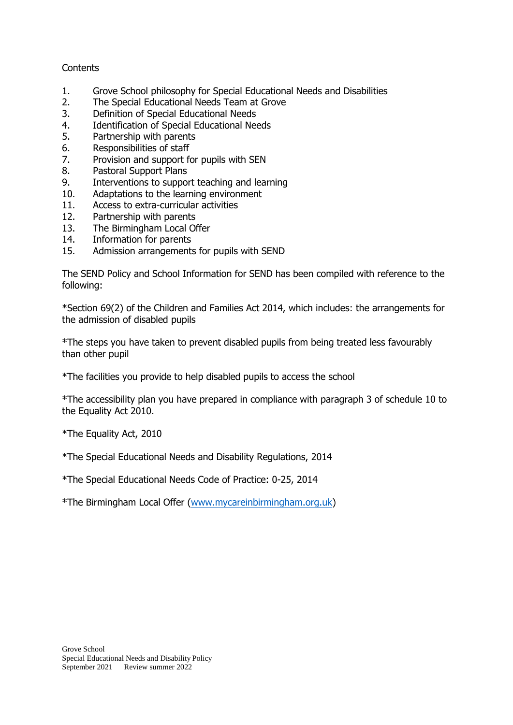### **Contents**

- 1. Grove School philosophy for Special Educational Needs and Disabilities
- 2. The Special Educational Needs Team at Grove
- 3. Definition of Special Educational Needs
- 4. Identification of Special Educational Needs
- 5. Partnership with parents
- 6. Responsibilities of staff
- 7. Provision and support for pupils with SEN
- 8. Pastoral Support Plans
- 9. Interventions to support teaching and learning
- 10. Adaptations to the learning environment
- 11. Access to extra-curricular activities
- 12. Partnership with parents
- 13. The Birmingham Local Offer
- 14. Information for parents
- 15. Admission arrangements for pupils with SEND

The SEND Policy and School Information for SEND has been compiled with reference to the following:

\*Section 69(2) of the Children and Families Act 2014, which includes: the arrangements for the admission of disabled pupils

\*The steps you have taken to prevent disabled pupils from being treated less favourably than other pupil

\*The facilities you provide to help disabled pupils to access the school

\*The accessibility plan you have prepared in compliance with paragraph 3 of schedule 10 to the Equality Act 2010.

\*The Equality Act, 2010

\*The Special Educational Needs and Disability Regulations, 2014

\*The Special Educational Needs Code of Practice: 0-25, 2014

\*The Birmingham Local Offer [\(www.mycareinbirmingham.org.uk\)](http://www.mycareinbirmingham.org.uk/)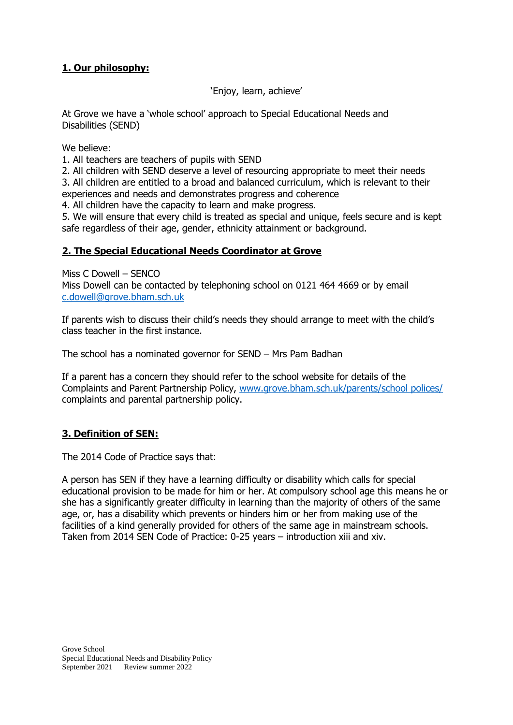## **1. Our philosophy:**

'Enjoy, learn, achieve'

At Grove we have a 'whole school' approach to Special Educational Needs and Disabilities (SEND)

We believe:

1. All teachers are teachers of pupils with SEND

2. All children with SEND deserve a level of resourcing appropriate to meet their needs 3. All children are entitled to a broad and balanced curriculum, which is relevant to their experiences and needs and demonstrates progress and coherence

4. All children have the capacity to learn and make progress.

5. We will ensure that every child is treated as special and unique, feels secure and is kept safe regardless of their age, gender, ethnicity attainment or background.

## **2. The Special Educational Needs Coordinator at Grove**

Miss C Dowell – SENCO Miss Dowell can be contacted by telephoning school on 0121 464 4669 or by email [c.dowell@grove.bham.sch.uk](mailto:c.dowell@grove.bham.sch.uk)

If parents wish to discuss their child's needs they should arrange to meet with the child's class teacher in the first instance.

The school has a nominated governor for SEND – Mrs Pam Badhan

If a parent has a concern they should refer to the school website for details of the Complaints and Parent Partnership Policy, [www.grove.bham.sch.uk/parents/school polices/](http://www.grove.bham.sch.uk/parents/school%20polices/) complaints and parental partnership policy.

## **3. Definition of SEN:**

The 2014 Code of Practice says that:

A person has SEN if they have a learning difficulty or disability which calls for special educational provision to be made for him or her. At compulsory school age this means he or she has a significantly greater difficulty in learning than the majority of others of the same age, or, has a disability which prevents or hinders him or her from making use of the facilities of a kind generally provided for others of the same age in mainstream schools. Taken from 2014 SEN Code of Practice: 0-25 years – introduction xiii and xiv.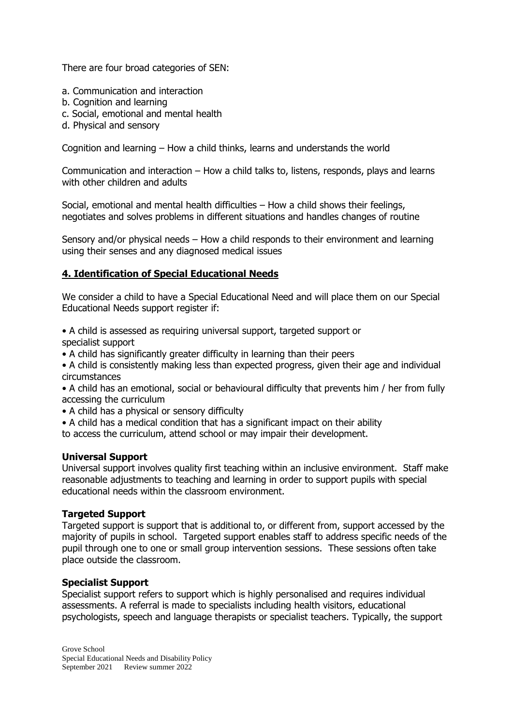There are four broad categories of SEN:

- a. Communication and interaction
- b. Cognition and learning
- c. Social, emotional and mental health
- d. Physical and sensory

Cognition and learning – How a child thinks, learns and understands the world

Communication and interaction – How a child talks to, listens, responds, plays and learns with other children and adults

Social, emotional and mental health difficulties – How a child shows their feelings, negotiates and solves problems in different situations and handles changes of routine

Sensory and/or physical needs – How a child responds to their environment and learning using their senses and any diagnosed medical issues

## **4. Identification of Special Educational Needs**

We consider a child to have a Special Educational Need and will place them on our Special Educational Needs support register if:

• A child is assessed as requiring universal support, targeted support or specialist support

- A child has significantly greater difficulty in learning than their peers
- A child is consistently making less than expected progress, given their age and individual circumstances

• A child has an emotional, social or behavioural difficulty that prevents him / her from fully accessing the curriculum

- A child has a physical or sensory difficulty
- A child has a medical condition that has a significant impact on their ability

to access the curriculum, attend school or may impair their development.

#### **Universal Support**

Universal support involves quality first teaching within an inclusive environment. Staff make reasonable adjustments to teaching and learning in order to support pupils with special educational needs within the classroom environment.

#### **Targeted Support**

Targeted support is support that is additional to, or different from, support accessed by the majority of pupils in school. Targeted support enables staff to address specific needs of the pupil through one to one or small group intervention sessions. These sessions often take place outside the classroom.

#### **Specialist Support**

Specialist support refers to support which is highly personalised and requires individual assessments. A referral is made to specialists including health visitors, educational psychologists, speech and language therapists or specialist teachers. Typically, the support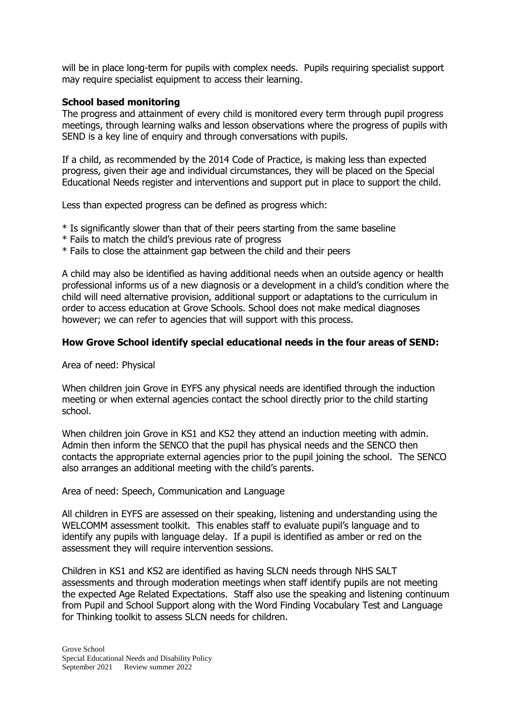will be in place long-term for pupils with complex needs. Pupils requiring specialist support may require specialist equipment to access their learning.

#### **School based monitoring**

The progress and attainment of every child is monitored every term through pupil progress meetings, through learning walks and lesson observations where the progress of pupils with SEND is a key line of enquiry and through conversations with pupils.

If a child, as recommended by the 2014 Code of Practice, is making less than expected progress, given their age and individual circumstances, they will be placed on the Special Educational Needs register and interventions and support put in place to support the child.

Less than expected progress can be defined as progress which:

- \* Is significantly slower than that of their peers starting from the same baseline
- \* Fails to match the child's previous rate of progress
- \* Fails to close the attainment gap between the child and their peers

A child may also be identified as having additional needs when an outside agency or health professional informs us of a new diagnosis or a development in a child's condition where the child will need alternative provision, additional support or adaptations to the curriculum in order to access education at Grove Schools. School does not make medical diagnoses however; we can refer to agencies that will support with this process.

#### **How Grove School identify special educational needs in the four areas of SEND:**

Area of need: Physical

When children join Grove in EYFS any physical needs are identified through the induction meeting or when external agencies contact the school directly prior to the child starting school.

When children join Grove in KS1 and KS2 they attend an induction meeting with admin. Admin then inform the SENCO that the pupil has physical needs and the SENCO then contacts the appropriate external agencies prior to the pupil joining the school. The SENCO also arranges an additional meeting with the child's parents.

Area of need: Speech, Communication and Language

All children in EYFS are assessed on their speaking, listening and understanding using the WELCOMM assessment toolkit. This enables staff to evaluate pupil's language and to identify any pupils with language delay. If a pupil is identified as amber or red on the assessment they will require intervention sessions.

Children in KS1 and KS2 are identified as having SLCN needs through NHS SALT assessments and through moderation meetings when staff identify pupils are not meeting the expected Age Related Expectations. Staff also use the speaking and listening continuum from Pupil and School Support along with the Word Finding Vocabulary Test and Language for Thinking toolkit to assess SLCN needs for children.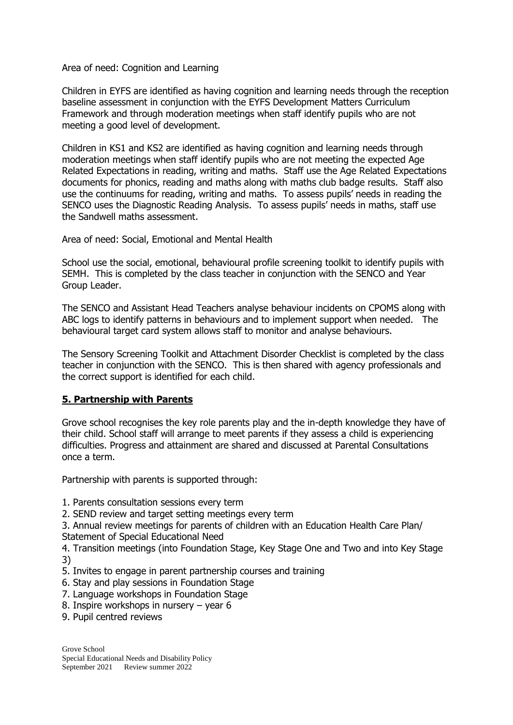Area of need: Cognition and Learning

Children in EYFS are identified as having cognition and learning needs through the reception baseline assessment in conjunction with the EYFS Development Matters Curriculum Framework and through moderation meetings when staff identify pupils who are not meeting a good level of development.

Children in KS1 and KS2 are identified as having cognition and learning needs through moderation meetings when staff identify pupils who are not meeting the expected Age Related Expectations in reading, writing and maths. Staff use the Age Related Expectations documents for phonics, reading and maths along with maths club badge results. Staff also use the continuums for reading, writing and maths. To assess pupils' needs in reading the SENCO uses the Diagnostic Reading Analysis. To assess pupils' needs in maths, staff use the Sandwell maths assessment.

Area of need: Social, Emotional and Mental Health

School use the social, emotional, behavioural profile screening toolkit to identify pupils with SEMH. This is completed by the class teacher in conjunction with the SENCO and Year Group Leader.

The SENCO and Assistant Head Teachers analyse behaviour incidents on CPOMS along with ABC logs to identify patterns in behaviours and to implement support when needed. The behavioural target card system allows staff to monitor and analyse behaviours.

The Sensory Screening Toolkit and Attachment Disorder Checklist is completed by the class teacher in conjunction with the SENCO. This is then shared with agency professionals and the correct support is identified for each child.

## **5. Partnership with Parents**

Grove school recognises the key role parents play and the in-depth knowledge they have of their child. School staff will arrange to meet parents if they assess a child is experiencing difficulties. Progress and attainment are shared and discussed at Parental Consultations once a term.

Partnership with parents is supported through:

- 1. Parents consultation sessions every term
- 2. SEND review and target setting meetings every term

3. Annual review meetings for parents of children with an Education Health Care Plan/ Statement of Special Educational Need

4. Transition meetings (into Foundation Stage, Key Stage One and Two and into Key Stage 3)

- 5. Invites to engage in parent partnership courses and training
- 6. Stay and play sessions in Foundation Stage
- 7. Language workshops in Foundation Stage
- 8. Inspire workshops in nursery year 6
- 9. Pupil centred reviews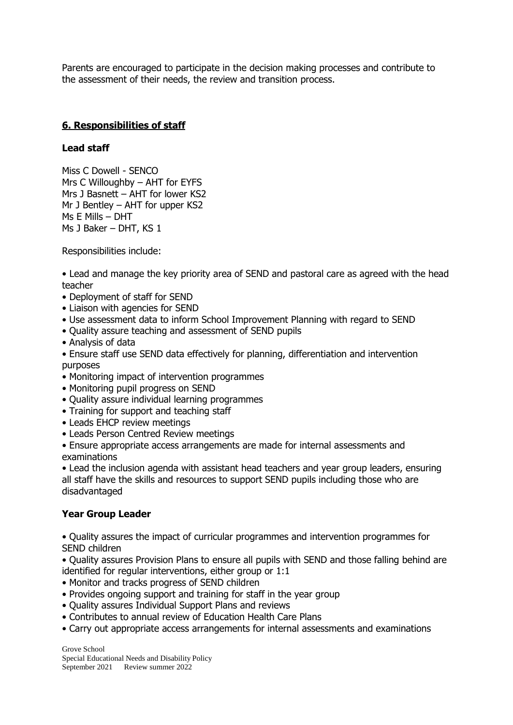Parents are encouraged to participate in the decision making processes and contribute to the assessment of their needs, the review and transition process.

#### **6. Responsibilities of staff**

#### **Lead staff**

Miss C Dowell - SENCO Mrs C Willoughby – AHT for EYFS Mrs J Basnett – AHT for lower KS2 Mr J Bentley – AHT for upper KS2 Ms E Mills – DHT Ms J Baker – DHT, KS 1

Responsibilities include:

• Lead and manage the key priority area of SEND and pastoral care as agreed with the head teacher

- Deployment of staff for SEND
- Liaison with agencies for SEND
- Use assessment data to inform School Improvement Planning with regard to SEND
- Quality assure teaching and assessment of SEND pupils
- Analysis of data
- Ensure staff use SEND data effectively for planning, differentiation and intervention purposes
- Monitoring impact of intervention programmes
- Monitoring pupil progress on SEND
- Quality assure individual learning programmes
- Training for support and teaching staff
- Leads EHCP review meetings
- Leads Person Centred Review meetings
- Ensure appropriate access arrangements are made for internal assessments and examinations

• Lead the inclusion agenda with assistant head teachers and year group leaders, ensuring all staff have the skills and resources to support SEND pupils including those who are disadvantaged

#### **Year Group Leader**

• Quality assures the impact of curricular programmes and intervention programmes for SEND children

• Quality assures Provision Plans to ensure all pupils with SEND and those falling behind are identified for regular interventions, either group or 1:1

- Monitor and tracks progress of SEND children
- Provides ongoing support and training for staff in the year group
- Quality assures Individual Support Plans and reviews
- Contributes to annual review of Education Health Care Plans
- Carry out appropriate access arrangements for internal assessments and examinations

Grove School Special Educational Needs and Disability Policy September 2021 Review summer 2022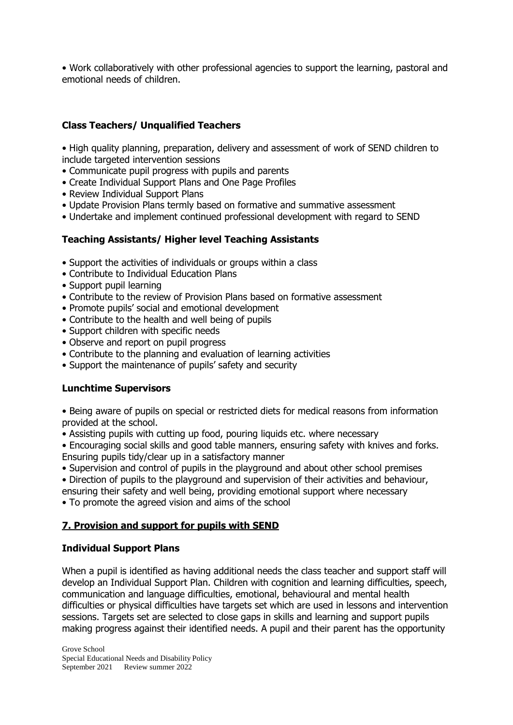• Work collaboratively with other professional agencies to support the learning, pastoral and emotional needs of children.

## **Class Teachers/ Unqualified Teachers**

• High quality planning, preparation, delivery and assessment of work of SEND children to include targeted intervention sessions

- Communicate pupil progress with pupils and parents
- Create Individual Support Plans and One Page Profiles
- Review Individual Support Plans
- Update Provision Plans termly based on formative and summative assessment
- Undertake and implement continued professional development with regard to SEND

### **Teaching Assistants/ Higher level Teaching Assistants**

- Support the activities of individuals or groups within a class
- Contribute to Individual Education Plans
- Support pupil learning
- Contribute to the review of Provision Plans based on formative assessment
- Promote pupils' social and emotional development
- Contribute to the health and well being of pupils
- Support children with specific needs
- Observe and report on pupil progress
- Contribute to the planning and evaluation of learning activities
- Support the maintenance of pupils' safety and security

#### **Lunchtime Supervisors**

• Being aware of pupils on special or restricted diets for medical reasons from information provided at the school.

• Assisting pupils with cutting up food, pouring liquids etc. where necessary

• Encouraging social skills and good table manners, ensuring safety with knives and forks. Ensuring pupils tidy/clear up in a satisfactory manner

- Supervision and control of pupils in the playground and about other school premises
- Direction of pupils to the playground and supervision of their activities and behaviour,
- ensuring their safety and well being, providing emotional support where necessary
- To promote the agreed vision and aims of the school

### **7. Provision and support for pupils with SEND**

#### **Individual Support Plans**

When a pupil is identified as having additional needs the class teacher and support staff will develop an Individual Support Plan. Children with cognition and learning difficulties, speech, communication and language difficulties, emotional, behavioural and mental health difficulties or physical difficulties have targets set which are used in lessons and intervention sessions. Targets set are selected to close gaps in skills and learning and support pupils making progress against their identified needs. A pupil and their parent has the opportunity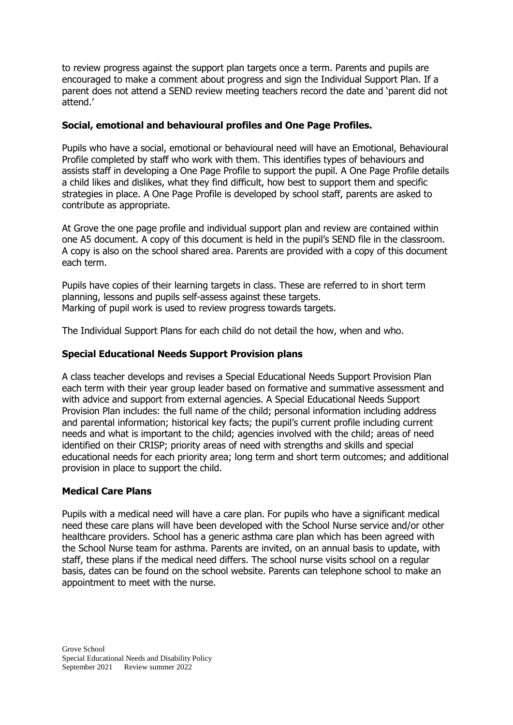to review progress against the support plan targets once a term. Parents and pupils are encouraged to make a comment about progress and sign the Individual Support Plan. If a parent does not attend a SEND review meeting teachers record the date and 'parent did not attend.'

#### **Social, emotional and behavioural profiles and One Page Profiles.**

Pupils who have a social, emotional or behavioural need will have an Emotional, Behavioural Profile completed by staff who work with them. This identifies types of behaviours and assists staff in developing a One Page Profile to support the pupil. A One Page Profile details a child likes and dislikes, what they find difficult, how best to support them and specific strategies in place. A One Page Profile is developed by school staff, parents are asked to contribute as appropriate.

At Grove the one page profile and individual support plan and review are contained within one A5 document. A copy of this document is held in the pupil's SEND file in the classroom. A copy is also on the school shared area. Parents are provided with a copy of this document each term.

Pupils have copies of their learning targets in class. These are referred to in short term planning, lessons and pupils self-assess against these targets. Marking of pupil work is used to review progress towards targets.

The Individual Support Plans for each child do not detail the how, when and who.

#### **Special Educational Needs Support Provision plans**

A class teacher develops and revises a Special Educational Needs Support Provision Plan each term with their year group leader based on formative and summative assessment and with advice and support from external agencies. A Special Educational Needs Support Provision Plan includes: the full name of the child; personal information including address and parental information; historical key facts; the pupil's current profile including current needs and what is important to the child; agencies involved with the child; areas of need identified on their CRISP; priority areas of need with strengths and skills and special educational needs for each priority area; long term and short term outcomes; and additional provision in place to support the child.

#### **Medical Care Plans**

Pupils with a medical need will have a care plan. For pupils who have a significant medical need these care plans will have been developed with the School Nurse service and/or other healthcare providers. School has a generic asthma care plan which has been agreed with the School Nurse team for asthma. Parents are invited, on an annual basis to update, with staff, these plans if the medical need differs. The school nurse visits school on a regular basis, dates can be found on the school website. Parents can telephone school to make an appointment to meet with the nurse.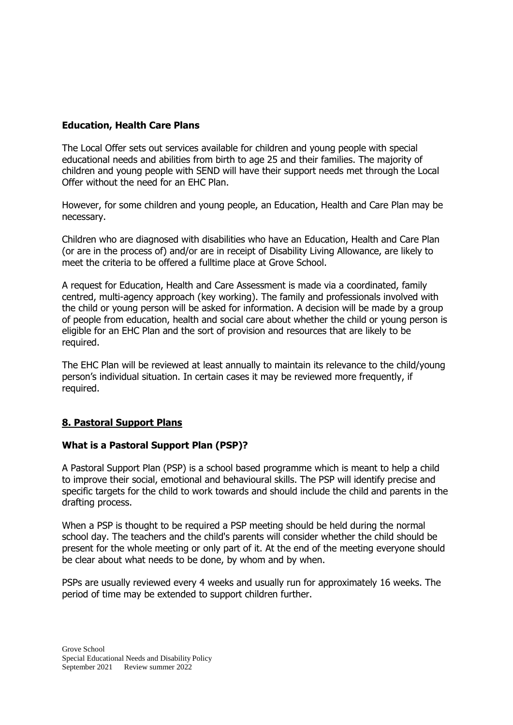### **Education, Health Care Plans**

The Local Offer sets out services available for children and young people with special educational needs and abilities from birth to age 25 and their families. The majority of children and young people with SEND will have their support needs met through the Local Offer without the need for an EHC Plan.

However, for some children and young people, an Education, Health and Care Plan may be necessary.

Children who are diagnosed with disabilities who have an Education, Health and Care Plan (or are in the process of) and/or are in receipt of Disability Living Allowance, are likely to meet the criteria to be offered a fulltime place at Grove School.

A request for Education, Health and Care Assessment is made via a coordinated, family centred, multi-agency approach (key working). The family and professionals involved with the child or young person will be asked for information. A decision will be made by a group of people from education, health and social care about whether the child or young person is eligible for an EHC Plan and the sort of provision and resources that are likely to be required.

The EHC Plan will be reviewed at least annually to maintain its relevance to the child/young person's individual situation. In certain cases it may be reviewed more frequently, if required.

### **8. Pastoral Support Plans**

### **What is a Pastoral Support Plan (PSP)?**

A Pastoral Support Plan (PSP) is a school based programme which is meant to help a child to improve their social, emotional and behavioural skills. The PSP will identify precise and specific targets for the child to work towards and should include the child and parents in the drafting process.

When a PSP is thought to be required a PSP meeting should be held during the normal school day. The teachers and the child's parents will consider whether the child should be present for the whole meeting or only part of it. At the end of the meeting everyone should be clear about what needs to be done, by whom and by when.

PSPs are usually reviewed every 4 weeks and usually run for approximately 16 weeks. The period of time may be extended to support children further.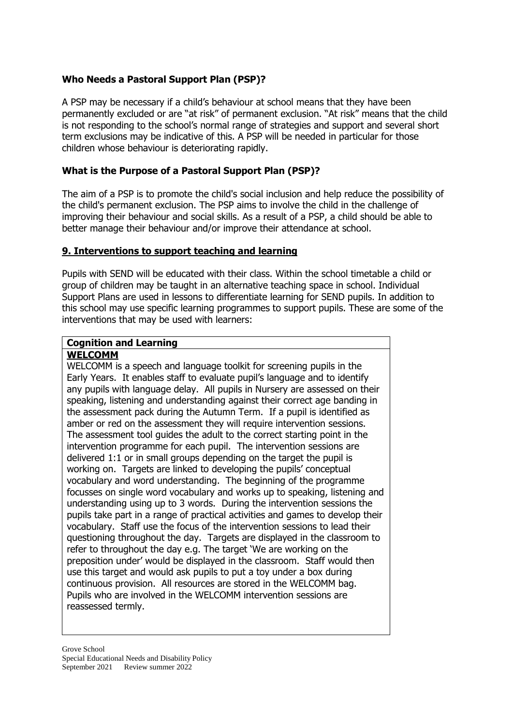## **Who Needs a Pastoral Support Plan (PSP)?**

A PSP may be necessary if a child's behaviour at school means that they have been permanently excluded or are "at risk" of permanent exclusion. "At risk" means that the child is not responding to the school's normal range of strategies and support and several short term exclusions may be indicative of this. A PSP will be needed in particular for those children whose behaviour is deteriorating rapidly.

## **What is the Purpose of a Pastoral Support Plan (PSP)?**

The aim of a PSP is to promote the child's social inclusion and help reduce the possibility of the child's permanent exclusion. The PSP aims to involve the child in the challenge of improving their behaviour and social skills. As a result of a PSP, a child should be able to better manage their behaviour and/or improve their attendance at school.

#### **9. Interventions to support teaching and learning**

Pupils with SEND will be educated with their class. Within the school timetable a child or group of children may be taught in an alternative teaching space in school. Individual Support Plans are used in lessons to differentiate learning for SEND pupils. In addition to this school may use specific learning programmes to support pupils. These are some of the interventions that may be used with learners:

## **Cognition and Learning**

## **WELCOMM**

WELCOMM is a speech and language toolkit for screening pupils in the Early Years. It enables staff to evaluate pupil's language and to identify any pupils with language delay. All pupils in Nursery are assessed on their speaking, listening and understanding against their correct age banding in the assessment pack during the Autumn Term. If a pupil is identified as amber or red on the assessment they will require intervention sessions. The assessment tool guides the adult to the correct starting point in the intervention programme for each pupil. The intervention sessions are delivered 1:1 or in small groups depending on the target the pupil is working on. Targets are linked to developing the pupils' conceptual vocabulary and word understanding. The beginning of the programme focusses on single word vocabulary and works up to speaking, listening and understanding using up to 3 words. During the intervention sessions the pupils take part in a range of practical activities and games to develop their vocabulary. Staff use the focus of the intervention sessions to lead their questioning throughout the day. Targets are displayed in the classroom to refer to throughout the day e.g. The target 'We are working on the preposition under' would be displayed in the classroom. Staff would then use this target and would ask pupils to put a toy under a box during continuous provision. All resources are stored in the WELCOMM bag. Pupils who are involved in the WELCOMM intervention sessions are reassessed termly.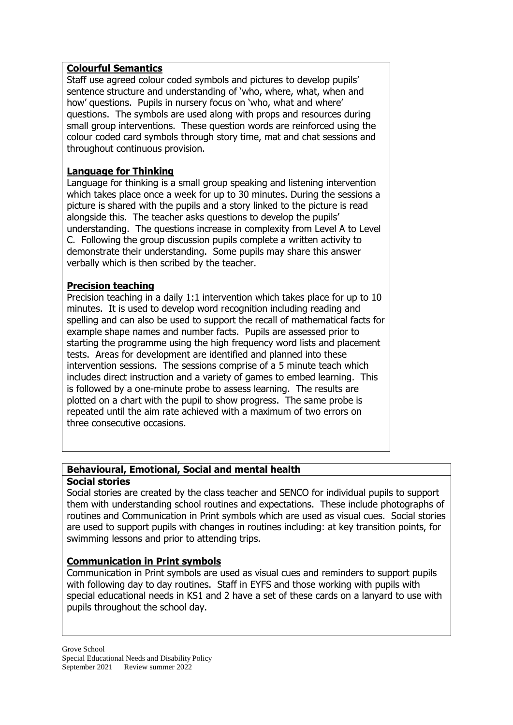## **Colourful Semantics**

Staff use agreed colour coded symbols and pictures to develop pupils' sentence structure and understanding of 'who, where, what, when and how' questions. Pupils in nursery focus on 'who, what and where' questions. The symbols are used along with props and resources during small group interventions. These question words are reinforced using the colour coded card symbols through story time, mat and chat sessions and throughout continuous provision.

## **Language for Thinking**

Language for thinking is a small group speaking and listening intervention which takes place once a week for up to 30 minutes. During the sessions a picture is shared with the pupils and a story linked to the picture is read alongside this. The teacher asks questions to develop the pupils' understanding. The questions increase in complexity from Level A to Level C. Following the group discussion pupils complete a written activity to demonstrate their understanding. Some pupils may share this answer verbally which is then scribed by the teacher.

## **Precision teaching**

Precision teaching in a daily 1:1 intervention which takes place for up to 10 minutes. It is used to develop word recognition including reading and spelling and can also be used to support the recall of mathematical facts for example shape names and number facts. Pupils are assessed prior to starting the programme using the high frequency word lists and placement tests. Areas for development are identified and planned into these intervention sessions. The sessions comprise of a 5 minute teach which includes direct instruction and a variety of games to embed learning. This is followed by a one-minute probe to assess learning. The results are plotted on a chart with the pupil to show progress. The same probe is repeated until the aim rate achieved with a maximum of two errors on three consecutive occasions.

#### **Behavioural, Emotional, Social and mental health Social stories**

Social stories are created by the class teacher and SENCO for individual pupils to support them with understanding school routines and expectations. These include photographs of routines and Communication in Print symbols which are used as visual cues. Social stories are used to support pupils with changes in routines including: at key transition points, for swimming lessons and prior to attending trips.

## **Communication in Print symbols**

Communication in Print symbols are used as visual cues and reminders to support pupils with following day to day routines. Staff in EYFS and those working with pupils with special educational needs in KS1 and 2 have a set of these cards on a lanyard to use with pupils throughout the school day.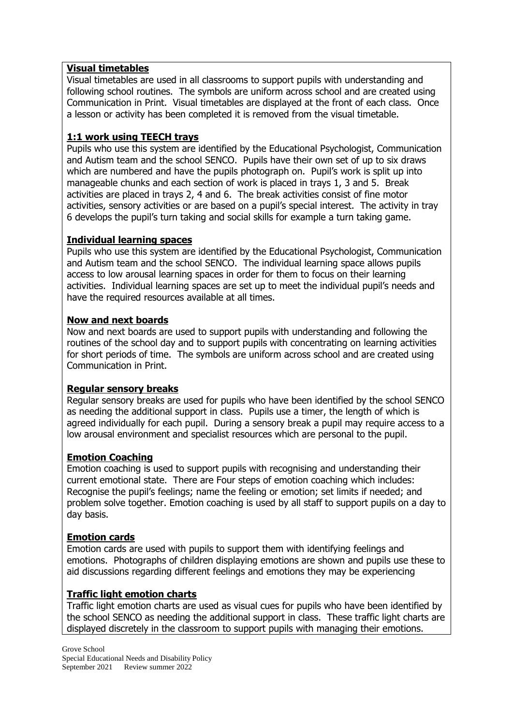## **Visual timetables**

Visual timetables are used in all classrooms to support pupils with understanding and following school routines. The symbols are uniform across school and are created using Communication in Print. Visual timetables are displayed at the front of each class. Once a lesson or activity has been completed it is removed from the visual timetable.

## **1:1 work using TEECH trays**

Pupils who use this system are identified by the Educational Psychologist, Communication and Autism team and the school SENCO. Pupils have their own set of up to six draws which are numbered and have the pupils photograph on. Pupil's work is split up into manageable chunks and each section of work is placed in trays 1, 3 and 5. Break activities are placed in trays 2, 4 and 6. The break activities consist of fine motor activities, sensory activities or are based on a pupil's special interest. The activity in tray 6 develops the pupil's turn taking and social skills for example a turn taking game.

## **Individual learning spaces**

Pupils who use this system are identified by the Educational Psychologist, Communication and Autism team and the school SENCO. The individual learning space allows pupils access to low arousal learning spaces in order for them to focus on their learning activities. Individual learning spaces are set up to meet the individual pupil's needs and have the required resources available at all times.

## **Now and next boards**

Now and next boards are used to support pupils with understanding and following the routines of the school day and to support pupils with concentrating on learning activities for short periods of time. The symbols are uniform across school and are created using Communication in Print.

## **Regular sensory breaks**

Regular sensory breaks are used for pupils who have been identified by the school SENCO as needing the additional support in class. Pupils use a timer, the length of which is agreed individually for each pupil. During a sensory break a pupil may require access to a low arousal environment and specialist resources which are personal to the pupil.

### **Emotion Coaching**

Emotion coaching is used to support pupils with recognising and understanding their current emotional state. There are Four steps of emotion coaching which includes: Recognise the pupil's feelings; name the feeling or emotion; set limits if needed; and problem solve together. Emotion coaching is used by all staff to support pupils on a day to day basis.

### **Emotion cards**

Emotion cards are used with pupils to support them with identifying feelings and emotions. Photographs of children displaying emotions are shown and pupils use these to aid discussions regarding different feelings and emotions they may be experiencing

## **Traffic light emotion charts**

Traffic light emotion charts are used as visual cues for pupils who have been identified by the school SENCO as needing the additional support in class. These traffic light charts are displayed discretely in the classroom to support pupils with managing their emotions.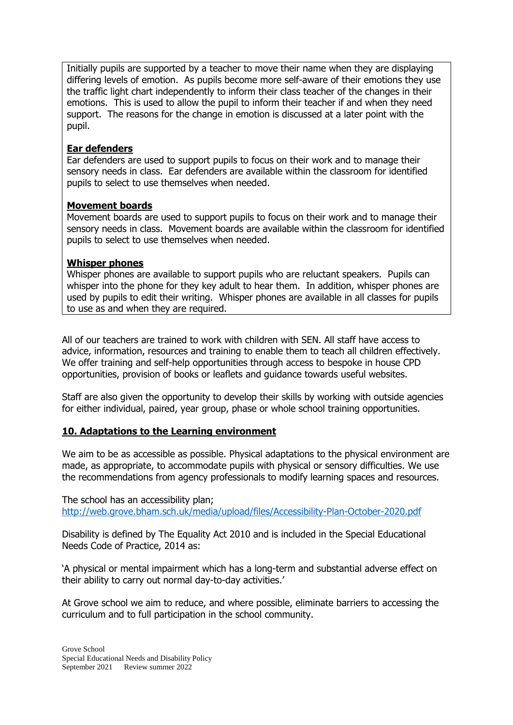Initially pupils are supported by a teacher to move their name when they are displaying differing levels of emotion. As pupils become more self-aware of their emotions they use the traffic light chart independently to inform their class teacher of the changes in their emotions. This is used to allow the pupil to inform their teacher if and when they need support. The reasons for the change in emotion is discussed at a later point with the pupil.

## **Ear defenders**

Ear defenders are used to support pupils to focus on their work and to manage their sensory needs in class. Ear defenders are available within the classroom for identified pupils to select to use themselves when needed.

### **Movement boards**

Movement boards are used to support pupils to focus on their work and to manage their sensory needs in class. Movement boards are available within the classroom for identified pupils to select to use themselves when needed.

### **Whisper phones**

Whisper phones are available to support pupils who are reluctant speakers. Pupils can whisper into the phone for they key adult to hear them. In addition, whisper phones are used by pupils to edit their writing. Whisper phones are available in all classes for pupils to use as and when they are required.

All of our teachers are trained to work with children with SEN. All staff have access to advice, information, resources and training to enable them to teach all children effectively. We offer training and self-help opportunities through access to bespoke in house CPD opportunities, provision of books or leaflets and guidance towards useful websites.

Staff are also given the opportunity to develop their skills by working with outside agencies for either individual, paired, year group, phase or whole school training opportunities.

### **10. Adaptations to the Learning environment**

We aim to be as accessible as possible. Physical adaptations to the physical environment are made, as appropriate, to accommodate pupils with physical or sensory difficulties. We use the recommendations from agency professionals to modify learning spaces and resources.

The school has an accessibility plan; <http://web.grove.bham.sch.uk/media/upload/files/Accessibility-Plan-October-2020.pdf>

Disability is defined by The Equality Act 2010 and is included in the Special Educational Needs Code of Practice, 2014 as:

'A physical or mental impairment which has a long-term and substantial adverse effect on their ability to carry out normal day-to-day activities.'

At Grove school we aim to reduce, and where possible, eliminate barriers to accessing the curriculum and to full participation in the school community.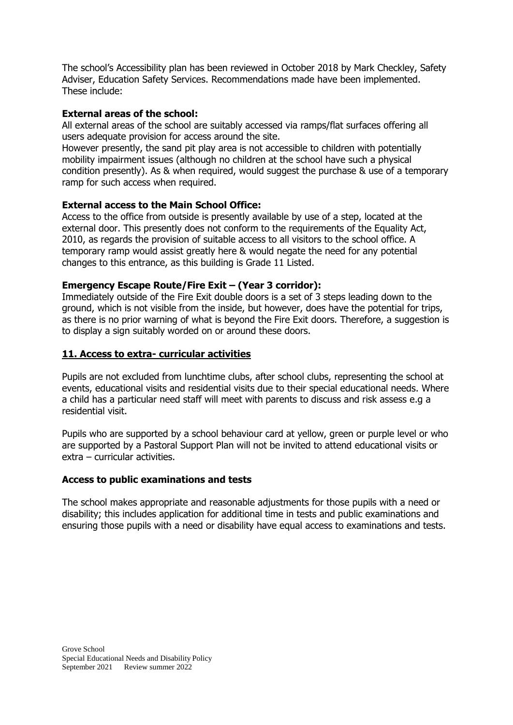The school's Accessibility plan has been reviewed in October 2018 by Mark Checkley, Safety Adviser, Education Safety Services. Recommendations made have been implemented. These include:

## **External areas of the school:**

All external areas of the school are suitably accessed via ramps/flat surfaces offering all users adequate provision for access around the site.

However presently, the sand pit play area is not accessible to children with potentially mobility impairment issues (although no children at the school have such a physical condition presently). As & when required, would suggest the purchase & use of a temporary ramp for such access when required.

### **External access to the Main School Office:**

Access to the office from outside is presently available by use of a step, located at the external door. This presently does not conform to the requirements of the Equality Act, 2010, as regards the provision of suitable access to all visitors to the school office. A temporary ramp would assist greatly here & would negate the need for any potential changes to this entrance, as this building is Grade 11 Listed.

#### **Emergency Escape Route/Fire Exit – (Year 3 corridor):**

Immediately outside of the Fire Exit double doors is a set of 3 steps leading down to the ground, which is not visible from the inside, but however, does have the potential for trips, as there is no prior warning of what is beyond the Fire Exit doors. Therefore, a suggestion is to display a sign suitably worded on or around these doors.

#### **11. Access to extra- curricular activities**

Pupils are not excluded from lunchtime clubs, after school clubs, representing the school at events, educational visits and residential visits due to their special educational needs. Where a child has a particular need staff will meet with parents to discuss and risk assess e.g a residential visit.

Pupils who are supported by a school behaviour card at yellow, green or purple level or who are supported by a Pastoral Support Plan will not be invited to attend educational visits or extra – curricular activities.

### **Access to public examinations and tests**

The school makes appropriate and reasonable adjustments for those pupils with a need or disability; this includes application for additional time in tests and public examinations and ensuring those pupils with a need or disability have equal access to examinations and tests.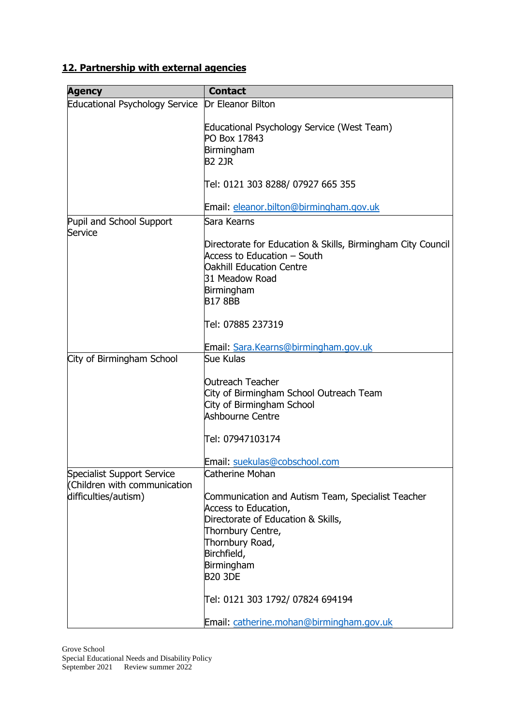## **12. Partnership with external agencies**

| <b>Agency</b>                         | <b>Contact</b>                                              |
|---------------------------------------|-------------------------------------------------------------|
|                                       | Dr Eleanor Bilton                                           |
| <b>Educational Psychology Service</b> |                                                             |
|                                       | Educational Psychology Service (West Team)                  |
|                                       | PO Box 17843                                                |
|                                       | Birmingham                                                  |
|                                       | <b>B2 2JR</b>                                               |
|                                       |                                                             |
|                                       | Tel: 0121 303 8288/ 07927 665 355                           |
|                                       |                                                             |
|                                       | Email: eleanor.bilton@birmingham.gov.uk                     |
| Pupil and School Support              | Sara Kearns                                                 |
| Service                               |                                                             |
|                                       | Directorate for Education & Skills, Birmingham City Council |
|                                       | Access to Education – South                                 |
|                                       | <b>Oakhill Education Centre</b>                             |
|                                       | 31 Meadow Road                                              |
|                                       | Birmingham                                                  |
|                                       | <b>B178BB</b>                                               |
|                                       |                                                             |
|                                       | Tel: 07885 237319                                           |
|                                       |                                                             |
|                                       | Email: Sara.Kearns@birmingham.gov.uk<br>Sue Kulas           |
| City of Birmingham School             |                                                             |
|                                       | <b>Outreach Teacher</b>                                     |
|                                       | City of Birmingham School Outreach Team                     |
|                                       | City of Birmingham School                                   |
|                                       | <b>Ashbourne Centre</b>                                     |
|                                       |                                                             |
|                                       | Tel: 07947103174                                            |
|                                       |                                                             |
|                                       | Email: suekulas@cobschool.com                               |
| Specialist Support Service            | Catherine Mohan                                             |
| (Children with communication          |                                                             |
| difficulties/autism)                  | Communication and Autism Team, Specialist Teacher           |
|                                       | Access to Education,                                        |
|                                       | Directorate of Education & Skills,                          |
|                                       | Thornbury Centre,                                           |
|                                       | Thornbury Road,                                             |
|                                       | Birchfield,                                                 |
|                                       | Birmingham                                                  |
|                                       | <b>B20 3DE</b>                                              |
|                                       |                                                             |
|                                       | Tel: 0121 303 1792/ 07824 694194                            |
|                                       | Email: catherine.mohan@birmingham.gov.uk                    |
|                                       |                                                             |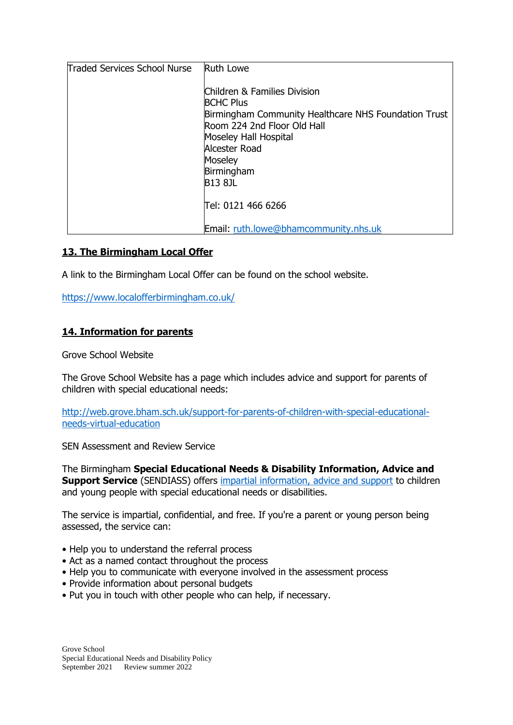| Traded Services School Nurse | <b>Ruth Lowe</b>                                                                                                                                                                                                             |
|------------------------------|------------------------------------------------------------------------------------------------------------------------------------------------------------------------------------------------------------------------------|
|                              | Children & Families Division<br><b>BCHC Plus</b><br>Birmingham Community Healthcare NHS Foundation Trust<br>Room 224 2nd Floor Old Hall<br>Moseley Hall Hospital<br>Alcester Road<br>Moseley<br>Birmingham<br><b>B13 8JL</b> |
|                              | Tel: 0121 466 6266                                                                                                                                                                                                           |
|                              | Email: ruth.lowe@bhamcommunity.nhs.uk                                                                                                                                                                                        |

### **13. The Birmingham Local Offer**

A link to the Birmingham Local Offer can be found on the school website.

<https://www.localofferbirmingham.co.uk/>

### **14. Information for parents**

Grove School Website

The Grove School Website has a page which includes advice and support for parents of children with special educational needs:

[http://web.grove.bham.sch.uk/support-for-parents-of-children-with-special-educational](http://web.grove.bham.sch.uk/support-for-parents-of-children-with-special-educational-needs-virtual-education)[needs-virtual-education](http://web.grove.bham.sch.uk/support-for-parents-of-children-with-special-educational-needs-virtual-education)

SEN Assessment and Review Service

The Birmingham **Special Educational Needs & Disability Information, Advice and Support Service** (SENDIASS) offers [impartial information, advice and support](https://www.birmingham.gov.uk/downloads/download/498/sendiass_impartiality_policy_statement) to children and young people with special educational needs or disabilities.

The service is impartial, confidential, and free. If you're a parent or young person being assessed, the service can:

- Help you to understand the referral process
- Act as a named contact throughout the process
- Help you to communicate with everyone involved in the assessment process
- Provide information about personal budgets
- Put you in touch with other people who can help, if necessary.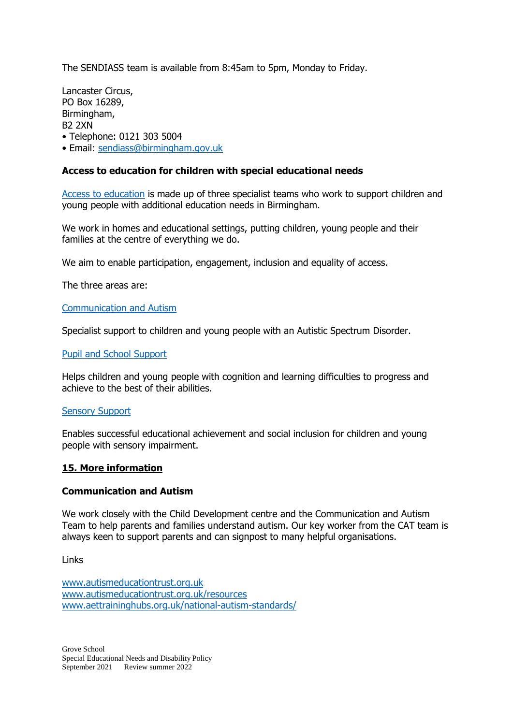The SENDIASS team is available from 8:45am to 5pm, Monday to Friday.

Lancaster Circus, PO Box 16289, Birmingham, B2 2XN • Telephone: 0121 303 5004

• Email: [sendiass@birmingham.gov.uk](mailto:sendiass@birmingham.gov.uk)

#### **Access to education for children with special educational needs**

[Access to education](https://accesstoeducation.birmingham.gov.uk/) is made up of three specialist teams who work to support children and young people with additional education needs in Birmingham.

We work in homes and educational settings, putting children, young people and their families at the centre of everything we do.

We aim to enable participation, engagement, inclusion and equality of access.

The three areas are:

#### [Communication and Autism](https://accesstoeducation.birmingham.gov.uk/communication-autism-team/)

Specialist support to children and young people with an Autistic Spectrum Disorder.

#### [Pupil and School Support](https://accesstoeducation.birmingham.gov.uk/pupil-and-school-support/)

Helps children and young people with cognition and learning difficulties to progress and achieve to the best of their abilities.

#### [Sensory Support](https://accesstoeducation.birmingham.gov.uk/sensory-support/)

Enables successful educational achievement and social inclusion for children and young people with sensory impairment.

#### **15. More information**

#### **Communication and Autism**

We work closely with the Child Development centre and the Communication and Autism Team to help parents and families understand autism. Our key worker from the CAT team is always keen to support parents and can signpost to many helpful organisations.

Links

[www.autismeducationtrust.org.uk](http://www.autismeducationtrust.org.uk/) [www.autismeducationtrust.org.uk/resources](http://www.autismeducationtrust.org.uk/resources) [www.aettraininghubs.org.uk/national-autism-standards/](http://www.aettraininghubs.org.uk/national-autism-standards/)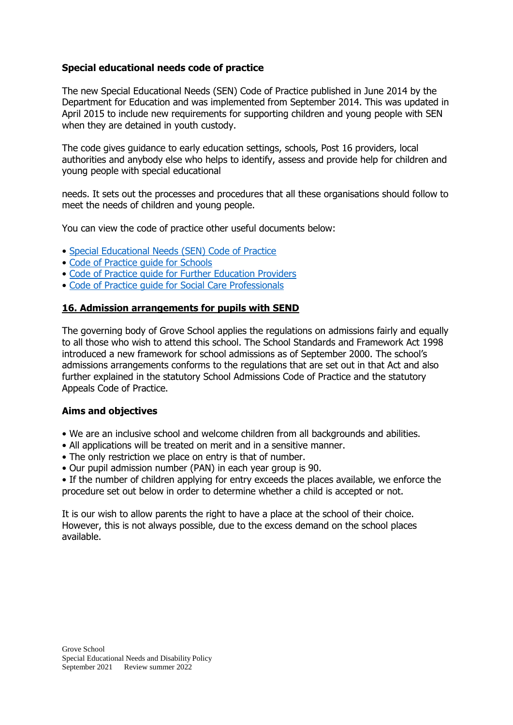## **Special educational needs code of practice**

The new Special Educational Needs (SEN) Code of Practice published in June 2014 by the Department for Education and was implemented from September 2014. This was updated in April 2015 to include new requirements for supporting children and young people with SEN when they are detained in youth custody.

The code gives guidance to early education settings, schools, Post 16 providers, local authorities and anybody else who helps to identify, assess and provide help for children and young people with special educational

needs. It sets out the processes and procedures that all these organisations should follow to meet the needs of children and young people.

You can view the code of practice other useful documents below:

- [Special Educational Needs \(SEN\) Code of Practice](https://www.gov.uk/government/publications/send-code-of-practice-0-to-25)
- [Code of Practice guide for Schools](https://www.gov.uk/government/publications/send-guide-for-schools-and-alternative-provision-settings)
- [Code of Practice guide for Further Education Providers](https://www.gov.uk/government/publications/send-guide-for-further-education-providers)
- [Code of Practice guide for Social Care Professionals](https://www.gov.uk/government/publications/send-guide-for-social-care-professionals)

#### **16. Admission arrangements for pupils with SEND**

The governing body of Grove School applies the regulations on admissions fairly and equally to all those who wish to attend this school. The School Standards and Framework Act 1998 introduced a new framework for school admissions as of September 2000. The school's admissions arrangements conforms to the regulations that are set out in that Act and also further explained in the statutory School Admissions Code of Practice and the statutory Appeals Code of Practice.

#### **Aims and objectives**

- We are an inclusive school and welcome children from all backgrounds and abilities.
- All applications will be treated on merit and in a sensitive manner.
- The only restriction we place on entry is that of number.
- Our pupil admission number (PAN) in each year group is 90.

• If the number of children applying for entry exceeds the places available, we enforce the procedure set out below in order to determine whether a child is accepted or not.

It is our wish to allow parents the right to have a place at the school of their choice. However, this is not always possible, due to the excess demand on the school places available.